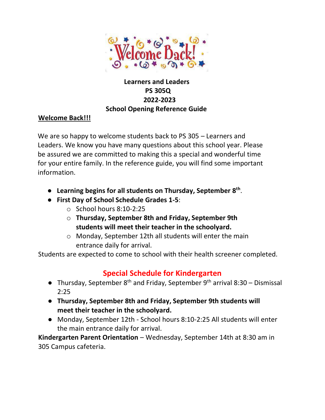

## **Learners and Leaders PS 305Q 2022-2023 School Opening Reference Guide**

### **Welcome Back!!!**

We are so happy to welcome students back to PS 305 – Learners and Leaders. We know you have many questions about this school year. Please be assured we are committed to making this a special and wonderful time for your entire family. In the reference guide, you will find some important information.

- **Learning begins for all students on Thursday, September 8th** .
- **First Day of School Schedule Grades 1-5**:
	- o School hours 8:10-2:25
	- o **Thursday, September 8th and Friday, September 9th students will meet their teacher in the schoolyard.**
	- o Monday, September 12th all students will enter the main entrance daily for arrival.

Students are expected to come to school with their health screener completed.

# **Special Schedule for Kindergarten**

- Thursday, September  $8^{th}$  and Friday, September  $9^{th}$  arrival 8:30 Dismissal 2:25
- **Thursday, September 8th and Friday, September 9th students will meet their teacher in the schoolyard.**
- Monday, September 12th School hours 8:10-2:25 All students will enter the main entrance daily for arrival.

**Kindergarten Parent Orientation** – Wednesday, September 14th at 8:30 am in 305 Campus cafeteria.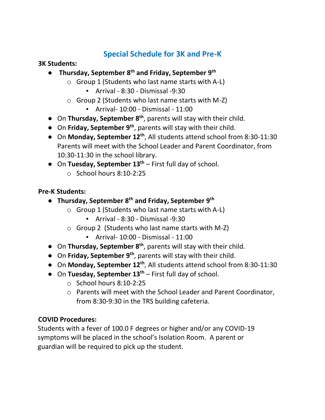# **Special Schedule for 3K and Pre-K**

#### **3K Students:**

- **Thursday, September 8th and Friday, September 9th**
	- $\circ$  Group 1 (Students who last name starts with A-L)
		- $\blacksquare$  Arrival 8:30 Dismissal -9:30
	- $\circ$  Group 2 (Students who last name starts with M-Z)
		- Arrival- 10:00 Dismissal 11:00
- On **Thursday, September 8th**, parents will stay with their child.
- On **Friday, September 9th**, parents will stay with their child.
- On **Monday, September 12th**, All students attend school from 8:30-11:30 Parents will meet with the School Leader and Parent Coordinator, from 10:30-11:30 in the school library.
- On **Tuesday, September 13th** First full day of school.
	- $\circ$  School hours 8:10-2:25

### **Pre-K Students:**

- **Thursday, September 8th and Friday, September 9th**
	- $\circ$  Group 1 (Students who last name starts with A-L)
		- Arrival 8:30 Dismissal -9:30
	- $\circ$  Group 2 (Students who last name starts with M-Z)
		- Arrival- 10:00 Dismissal 11:00
- On **Thursday, September 8th**, parents will stay with their child.
- On **Friday, September 9th**, parents will stay with their child.
- On **Monday, September 12th**, All students attend school from 8:30-11:30
- On **Tuesday, September 13th** First full day of school.
	- o School hours 8:10-2:25
	- o Parents will meet with the School Leader and Parent Coordinator, from 8:30-9:30 in the TRS building cafeteria.

### **COVID Procedures:**

Students with a fever of 100.0 F degrees or higher and/or any COVID-19 symptoms will be placed in the school's Isolation Room. A parent or guardian will be required to pick up the student.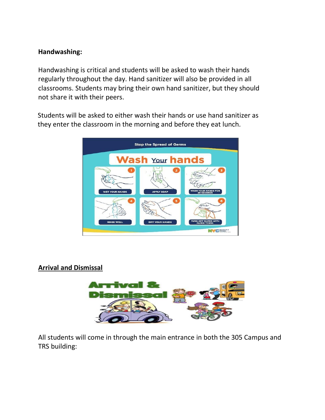#### **Handwashing:**

Handwashing is critical and students will be asked to wash their hands regularly throughout the day. Hand sanitizer will also be provided in all classrooms. Students may bring their own hand sanitizer, but they should not share it with their peers.

Students will be asked to either wash their hands or use hand sanitizer as they enter the classroom in the morning and before they eat lunch.



#### **Arrival and Dismissal**



All students will come in through the main entrance in both the 305 Campus and TRS building: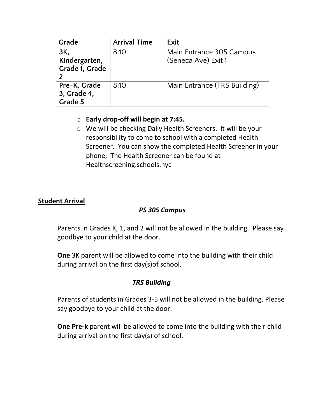| Grade                                  | <b>Arrival Time</b> | Exit                                            |
|----------------------------------------|---------------------|-------------------------------------------------|
| 3K,<br>Kindergarten,<br>Grade 1, Grade | 8:10                | Main Entrance 305 Campus<br>(Seneca Ave) Exit 1 |
| Pre-K, Grade<br>3, Grade 4,<br>Grade 5 | 8:10                | Main Entrance (TRS Building)                    |

### o **Early drop-off will begin at 7:45.**

o We will be checking Daily Health Screeners. It will be your responsibility to come to school with a completed Health Screener. You can show the completed Health Screener in your phone, The Health Screener can be found at Healthscreening.schools.nyc

### **Student Arrival**

### *PS 305 Campus*

Parents in Grades K, 1, and 2 will not be allowed in the building. Please say goodbye to your child at the door.

**One** 3K parent will be allowed to come into the building with their child during arrival on the first day(s)of school.

### *TRS Building*

Parents of students in Grades 3-5 will not be allowed in the building. Please say goodbye to your child at the door.

**One Pre-k** parent will be allowed to come into the building with their child during arrival on the first day(s) of school.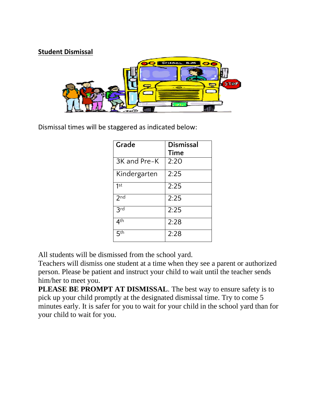

Dismissal times will be staggered as indicated below:

| Grade           | Dismissal<br><b>Time</b> |
|-----------------|--------------------------|
|                 |                          |
| 3K and Pre-K    | 2:20                     |
| Kindergarten    | 2:25                     |
| 1 <sub>st</sub> | 2:25                     |
| 2 <sub>nd</sub> | 2:25                     |
| 3rd             | 2:25                     |
| 4 <sup>th</sup> | 2:28                     |
| 5 <sup>th</sup> | 2:28                     |

All students will be dismissed from the school yard.

Teachers will dismiss one student at a time when they see a parent or authorized person. Please be patient and instruct your child to wait until the teacher sends him/her to meet you.

**PLEASE BE PROMPT AT DISMISSAL**. The best way to ensure safety is to pick up your child promptly at the designated dismissal time. Try to come 5 minutes early. It is safer for you to wait for your child in the school yard than for your child to wait for you.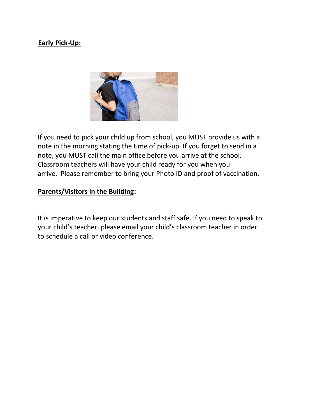### **Early Pick-Up:**



If you need to pick your child up from school, you MUST provide us with a note in the morning stating the time of pick-up. If you forget to send in a note, you MUST call the main office before you arrive at the school. Classroom teachers will have your child ready for you when you arrive. Please remember to bring your Photo ID and proof of vaccination.

#### **Parents/Visitors in the Building:**

It is imperative to keep our students and staff safe. If you need to speak to your child's teacher, please email your child's classroom teacher in order to schedule a call or video conference.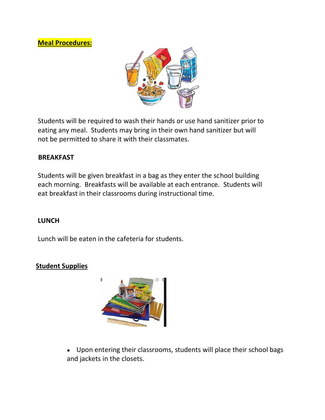**Meal Procedures:**



Students will be required to wash their hands or use hand sanitizer prior to eating any meal. Students may bring in their own hand sanitizer but will not be permitted to share it with their classmates.

#### **BREAKFAST**

Students will be given breakfast in a bag as they enter the school building each morning. Breakfasts will be available at each entrance. Students will eat breakfast in their classrooms during instructional time.

#### **LUNCH**

Lunch will be eaten in the cafeteria for students.

#### **Student Supplies**



• Upon entering their classrooms, students will place their school bags and jackets in the closets.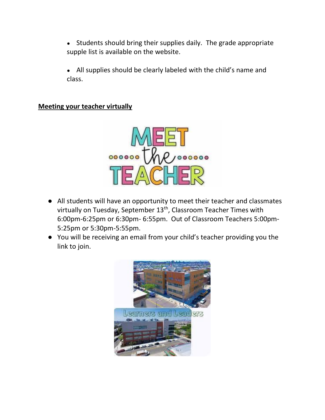- Students should bring their supplies daily. The grade appropriate supple list is available on the website.
- All supplies should be clearly labeled with the child's name and class.

### **Meeting your teacher virtually**



- All students will have an opportunity to meet their teacher and classmates virtually on Tuesday, September  $13<sup>th</sup>$ , Classroom Teacher Times with 6:00pm-6:25pm or 6:30pm- 6:55pm. Out of Classroom Teachers 5:00pm-5:25pm or 5:30pm-5:55pm.
- You will be receiving an email from your child's teacher providing you the link to join.

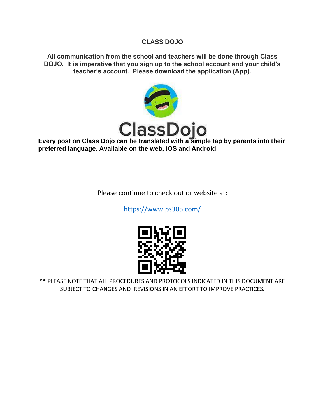#### **CLASS DOJO**

**All communication from the school and teachers will be done through Class DOJO. It is imperative that you sign up to the school account and your child's teacher's account. Please download the application (App).**



**Every post on Class Dojo can be translated with a simple tap by parents into their preferred language. Available on the web, iOS and Android**

Please continue to check out or website at:

<https://www.ps305.com/>



\*\* PLEASE NOTE THAT ALL PROCEDURES AND PROTOCOLS INDICATED IN THIS DOCUMENT ARE SUBJECT TO CHANGES AND REVISIONS IN AN EFFORT TO IMPROVE PRACTICES.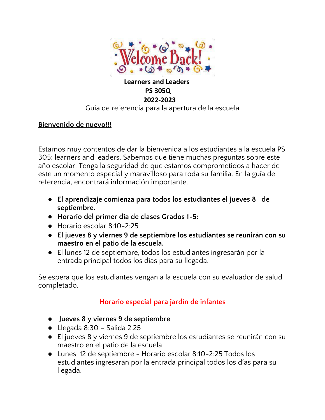

# **Learners and Leaders PS 305Q 2022-2023**

### Guía de referencia para la apertura de la escuela

### **Bienvenido de nuevo!!!**

Estamos muy contentos de dar la bienvenida a los estudiantes a la escuela PS 305: learners and leaders. Sabemos que tiene muchas preguntas sobre este año escolar. Tenga la seguridad de que estamos comprometidos a hacer de este un momento especial y maravilloso para toda su familia. En la guía de referencia, encontrará información importante.

- **El aprendizaje comienza para todos los estudiantes el jueves 8 de septiembre.**
- **Horario del primer día de clases Grados 1-5:**
- Horario escolar 8:10-2:25
- **El jueves 8 y viernes 9 de septiembre los estudiantes se reunirán con su maestro en el patio de la escuela.**
- El lunes 12 de septiembre, todos los estudiantes ingresarán por la entrada principal todos los días para su llegada.

Se espera que los estudiantes vengan a la escuela con su evaluador de salud completado.

# **Horario especial para jardín de infantes**

- **Jueves 8 y viernes 9 de septiembre**
- Llegada 8:30 Salida 2:25
- El jueves 8 y viernes 9 de septiembre los estudiantes se reunirán con su maestro en el patio de la escuela.
- Lunes, 12 de septiembre Horario escolar 8:10-2:25 Todos los estudiantes ingresarán por la entrada principal todos los días para su llegada.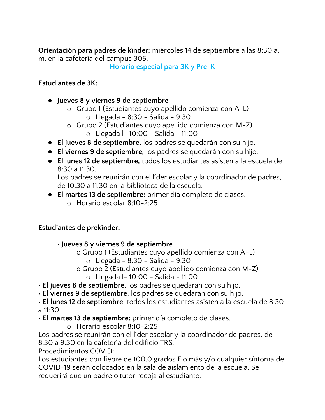**Orientación para padres de kínder:** miércoles 14 de septiembre a las 8:30 a. m. en la cafetería del campus 305.

**Horario especial para 3K y Pre-K**

### **Estudiantes de 3K:**

- **Jueves 8 y viernes 9 de septiembre**
	- o Grupo 1 (Estudiantes cuyo apellido comienza con A-L)
		- o Llegada 8:30 Salida 9:30
	- o Grupo 2 (Estudiantes cuyo apellido comienza con M-Z)
		- o Llegada l- 10:00 Salida 11:00
- **El jueves 8 de septiembre,** los padres se quedarán con su hijo.
- **El viernes 9 de septiembre,** los padres se quedarán con su hijo.
- **El lunes 12 de septiembre,** todos los estudiantes asisten a la escuela de 8:30 a 11:30.

Los padres se reunirán con el líder escolar y la coordinador de padres, de 10:30 a 11:30 en la biblioteca de la escuela.

- **El martes 13 de septiembre:** primer día completo de clases.
	- o Horario escolar 8:10-2:25

## **Estudiantes de prekínder:**

• **Jueves 8 y viernes 9 de septiembre**

- o Grupo 1 (Estudiantes cuyo apellido comienza con A-L) o Llegada - 8:30 - Salida - 9:30
- o Grupo 2 (Estudiantes cuyo apellido comienza con M-Z)
	- o Llegada l- 10:00 Salida 11:00

• **El jueves 8 de septiembre**, los padres se quedarán con su hijo.

• **El viernes 9 de septiembre**, los padres se quedarán con su hijo.

• **El lunes 12 de septiembre**, todos los estudiantes asisten a la escuela de 8:30 a 11:30.

- **El martes 13 de septiembre:** primer día completo de clases.
	- o Horario escolar 8:10-2:25

Los padres se reunirán con el líder escolar y la coordinador de padres, de 8:30 a 9:30 en la cafetería del edificio TRS.

Procedimientos COVID:

Los estudiantes con fiebre de 100.0 grados F o más y/o cualquier síntoma de COVID-19 serán colocados en la sala de aislamiento de la escuela. Se requerirá que un padre o tutor recoja al estudiante.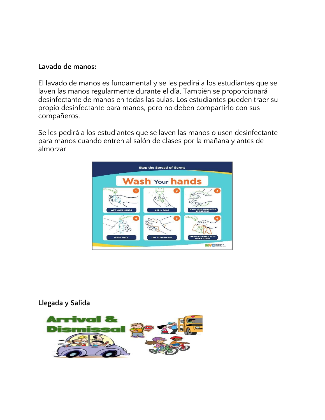#### **Lavado de manos:**

El lavado de manos es fundamental y se les pedirá a los estudiantes que se laven las manos regularmente durante el día. También se proporcionará desinfectante de manos en todas las aulas. Los estudiantes pueden traer su propio desinfectante para manos, pero no deben compartirlo con sus compañeros.

Se les pedirá a los estudiantes que se laven las manos o usen desinfectante para manos cuando entren al salón de clases por la mañana y antes de almorzar.



**Llegada y Salida**

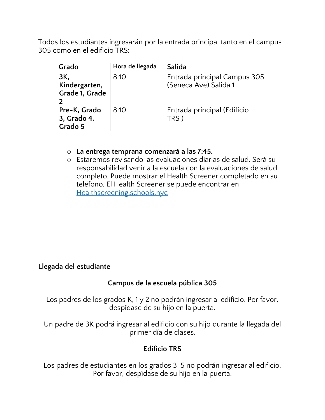Todos los estudiantes ingresarán por la entrada principal tanto en el campus 305 como en el edificio TRS:

| Grado                                  | Hora de llegada | Salida                                                |
|----------------------------------------|-----------------|-------------------------------------------------------|
| 3K,<br>Kindergarten,<br>Grade 1, Grade | 8:10            | Entrada principal Campus 305<br>(Seneca Ave) Salida 1 |
| Pre-K, Grado<br>3, Grado 4,<br>Grado 5 | 8:10            | Entrada principal (Edificio<br><b>TRS</b>             |

### o **La entrega temprana comenzará a las 7:45.**

o Estaremos revisando las evaluaciones diarias de salud. Será su responsabilidad venir a la escuela con la evaluaciones de salud completo. Puede mostrar el Health Screener completado en su teléfono. El Health Screener se puede encontrar en [Healthscreening.schools.nyc](http://healthscreening.schools.nyc/)

### **Llegada del estudiante**

## **Campus de la escuela pública 305**

Los padres de los grados K, 1 y 2 no podrán ingresar al edificio. Por favor, despídase de su hijo en la puerta.

Un padre de 3K podrá ingresar al edificio con su hijo durante la llegada del primer día de clases.

## **Edificio TRS**

Los padres de estudiantes en los grados 3-5 no podrán ingresar al edificio. Por favor, despídase de su hijo en la puerta.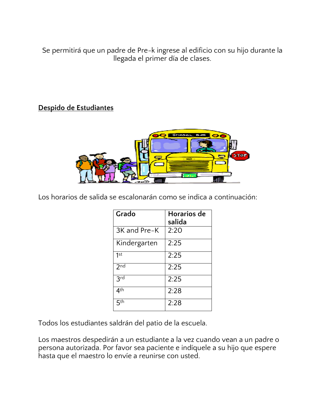Se permitirá que un padre de Pre-k ingrese al edificio con su hijo durante la llegada el primer día de clases.

## **Despido de Estudiantes**



Los horarios de salida se escalonarán como se indica a continuación:

| Grado           | Horarios de<br>salida |
|-----------------|-----------------------|
| 3K and Pre-K    | 2:20                  |
| Kindergarten    | 2:25                  |
| 1st             | 2:25                  |
| 2 <sub>nd</sub> | 2:25                  |
| 3rd             | 2:25                  |
| 4 <sup>th</sup> | 2:28                  |
| $\nabla$ th     | 2:28                  |

Todos los estudiantes saldrán del patio de la escuela.

Los maestros despedirán a un estudiante a la vez cuando vean a un padre o persona autorizada. Por favor sea paciente e indíquele a su hijo que espere hasta que el maestro lo envíe a reunirse con usted.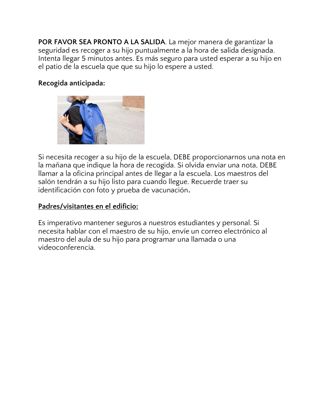**POR FAVOR SEA PRONTO A LA SALIDA**. La mejor manera de garantizar la seguridad es recoger a su hijo puntualmente a la hora de salida designada. Intenta llegar 5 minutos antes. Es más seguro para usted esperar a su hijo en el patio de la escuela que que su hijo lo espere a usted.

### **Recogida anticipada:**



Si necesita recoger a su hijo de la escuela, DEBE proporcionarnos una nota en la mañana que indique la hora de recogida. Si olvida enviar una nota, DEBE llamar a la oficina principal antes de llegar a la escuela. Los maestros del salón tendrán a su hijo listo para cuando llegue. Recuerde traer su identificación con foto y prueba de vacunación**.**

### **Padres/visitantes en el edificio:**

Es imperativo mantener seguros a nuestros estudiantes y personal. Si necesita hablar con el maestro de su hijo, envíe un correo electrónico al maestro del aula de su hijo para programar una llamada o una videoconferencia.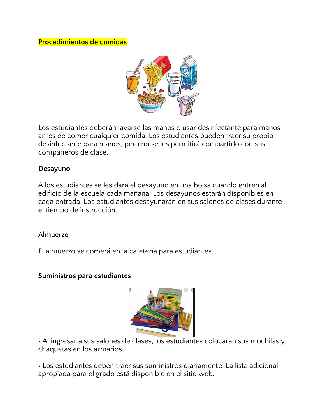### **Procedimientos de comidas**



Los estudiantes deberán lavarse las manos o usar desinfectante para manos antes de comer cualquier comida. Los estudiantes pueden traer su propio desinfectante para manos, pero no se les permitirá compartirlo con sus compañeros de clase.

### **Desayuno**

A los estudiantes se les dará el desayuno en una bolsa cuando entren al edificio de la escuela cada mañana. Los desayunos estarán disponibles en cada entrada. Los estudiantes desayunarán en sus salones de clases durante el tiempo de instrucción.

#### **Almuerzo**

El almuerzo se comerá en la cafetería para estudiantes.

#### **Suministros para estudiantes**



• Al ingresar a sus salones de clases, los estudiantes colocarán sus mochilas y chaquetas en los armarios.

• Los estudiantes deben traer sus suministros diariamente. La lista adicional apropiada para el grado está disponible en el sitio web.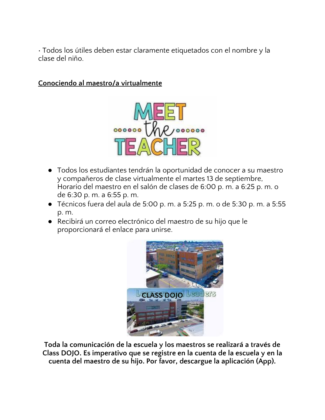• Todos los útiles deben estar claramente etiquetados con el nombre y la clase del niño.

### **Conociendo al maestro/a virtualmente**



- Todos los estudiantes tendrán la oportunidad de conocer a su maestro y compañeros de clase virtualmente el martes 13 de septiembre, Horario del maestro en el salón de clases de 6:00 p. m. a 6:25 p. m. o de 6:30 p. m. a 6:55 p. m.
- Técnicos fuera del aula de 5:00 p. m. a 5:25 p. m. o de 5:30 p. m. a 5:55 p. m.
- Recibirá un correo electrónico del maestro de su hijo que le proporcionará el enlace para unirse.



**Toda la comunicación de la escuela y los maestros se realizará a través de Class DOJO. Es imperativo que se registre en la cuenta de la escuela y en la cuenta del maestro de su hijo. Por favor, descargue la aplicación (App).**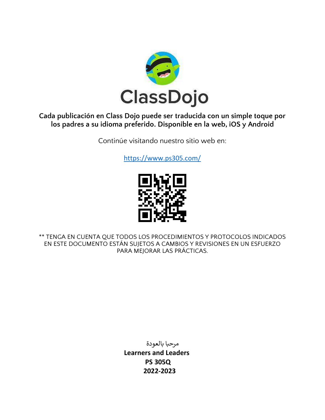

### **Cada publicación en Class Dojo puede ser traducida con un simple toque por los padres a su idioma preferido. Disponible en la web, iOS y Android**

Continúe visitando nuestro sitio web en:

<https://www.ps305.com/>



\*\* TENGA EN CUENTA QUE TODOS LOS PROCEDIMIENTOS Y PROTOCOLOS INDICADOS EN ESTE DOCUMENTO ESTÁN SUJETOS A CAMBIOS Y REVISIONES EN UN ESFUERZO PARA MEJORAR LAS PRÁCTICAS.

> مرحبا بالعودة **Learners and Leaders PS 305Q 2022-2023**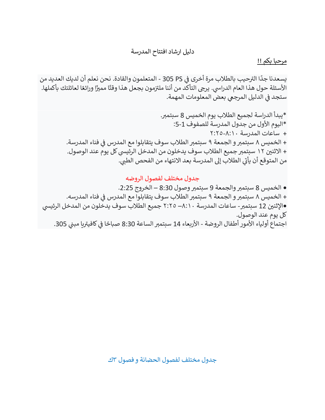### دليل ارشاد افتتاح المدرسة

#### مرحبا بكم !!

ي ֦֧֦֧֦֧֦֧֦֧֦֧֦֧֧֦֧֧֦֧֛֚֚֡֜֜֓֜֜֓֜֜֜֞֓֡֡֜ .<br>يسعدنا جدًا الترحيب بالطلاب مرة أخرى في PS PS - المتعلمون والقادة. نحن نعلم أن لديك العديد من .<br>الأسئلة حول هذا العام الدراسي. يرجى التأكد من أننا ملتزمون بجعل هذا وقتًا مميزًا ورائعًا لعائلتك بأكملها. ֧֦֧֦֧֢ׅ֦֧֡֝֟֟֓֝֝֜֜֜֜֜֜֜֜֜<br>֧֚֚֚֚֚֚֚֚֚֚֚֚֚֚֝ ستجد في الدليل المرجعي بعض المعلومات المهمة. ي ֚֚֚֚֡

> \*يبدأ الدراسة لجميع الطالب يوم الخميس 8 سبتمىت. \*اليوم األول من جدول المدرسة للصفوف :5-1 + ساعات المدرسة ٢:٢٥-٨:١٠ + الخميس ٨ سبتمبر و الجمعة ٩ سبتمبر الطلاب سوف يتقابلوا مع المدرس في فناء المدرسة. ֚֚֚֚֡  $\overline{\phantom{a}}$ + الاثنين ١٢ سبتمبر جميع الطلاب سوف يدخلون من المدخل الرئيسي كل يوم عند الوصول. ي ين بين .<br>من المتوقع أن يأتي الطلاب إلى المدرسة بعد الانتهاء من الفحص الطبي.

#### جدول مختلف لفصول الروضه

**•** الخميس 8 سبتمىتوالجمعة 9 سبتمىتوصول 8:30 – الخروج .2:25 + الخميس ٨ سبتمبر و الجمعة ٩ سبتمبر الطلاب سوف يتقابلوا مع المدرس في فناء المدرسه. ֚֚֚֚֡ •الإثنين 12 سبتمبر- ساعات المدرسة ٨:١٠— ٢:٢٥ جميع الطلاب سوف يدخلون من المدخل الرئيسي<br>-كل يوم عند الوصول. ت - - .<br>اجتماع أولياء الأمور أطفال الروضة - الأربعاء 14 سبتمبر الساعة 8:30 صباحًا في كافيتريا مبني 305. ي ي ֦֧֦֧֦֧֦֧֦֧֦֧֦֧֧֦֧֦֧֦֚֚֡֜֜֓֜֜֜֜֜֜֞֓֡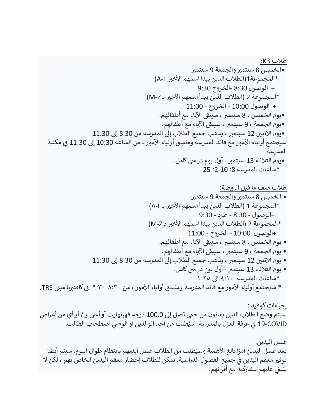طالب 3**K**: •الخميس 8 سبتمىتوالجمعة 9 سبتمىت \*المجموعة1)الطالب الذين يبدأ اسمهم األخ تL-A) + الوصول 8:30 -الخروج 9:30 \*المجموعة 2 )الطالب الذين يبدأ اسمهم األخ تبـ Z-M) + الوصول 10:00 - الخروج - 11:00 ، سيبق <sup>ر</sup> •يوم الخميس ، 8 سبتمىت اآلباء مع أطفالهم. ، سيبق <sup>ر</sup> •يوم الجمعة ، 9 سبتمىت اآلباء مع أطفالهم. يوم االثن ي 12 سبتمىت ، يذهب جميع الطالب إىل المدرسة من 8:30 إىل 11:30 • ير - - - ين -- - . . . .<br>سيجتمع أولياء الأمور مع قائد المدرسة ومنسق أولياء الأمور ، من الساعة 10:30 إلى 11:30 في مكتبة ي المدرسة. •يوم الثلاثاء 13 سبتمبر - أول يوم دراسي كامل. \*ساعات المدرسة :8 :2-10 25 طالب صف ما قبل الروضة: • الخميس 8 سبتمىتوالجمعة 9 سبتمىت \*المجموعة 1 )الطالب الذين يبدأ اسمهم األخ تبـ L-A)

 +الوصول - 8:30 - طرد - 9:30 \*المجموعة 2 )الطالب الذين يبدأ اسمهم األخ تبـ Z-M) +الوصول 10:00 - الخروج - 11:00

، سيبق <sup>ر</sup> • يوم الخميس ، 8 سبتمىت اآلباء مع أطفالهم.

، سيبق <sup>ر</sup> • يوم الجمعة ، 9 سبتمىت اآلباء مع أطفالهم.

• يوم االثن ي 12 سبتمىت ، يذهب جميع الطالب إىل المدرسة من 8:30 إىل 11:30

يس • يوم الثالثاء 13 سبتمىت- كامل. أول يوم درا يىل \*ساعات المدرسة ٨:١٠ ا ٢:٢٥ ب \* سيجتمع أولياء األمور مع قائد المدرسة ومنسق أولياء األمور ، من ٩:٣٠-٨:٣٠ كافت تيامب ي ف TRS.

إجراءات كوفيد : سيتم وضع الطلاب الذين يعانون من حمى تصل إلى 100.0 درجة فهرنهايت أو أعلى و / أو أي من أعراض 19-COVID في غرفة العزل بالمدرسة. سيُطلب من أحد الوالدين أو الوصي اصطحاب الطالب. ُ֦֧֦֧֦֧֦֧֦֧֦֧֦֧֦֧֧֦֧֧֦֧֜֜֓֓֜֜֓֜֜

غسل اليدين: سبب عنهم في ين<br>يعد غسل اليدين أمرًا بالغ الأهمية وسيُطلب من الطلاب غسل أيديهم بانتظام طوال اليوم. سيتم أيضًا <sub>ይ</sub> توفير معقم اليدينِ في جميع الفصول الدراسية. يمكن للطلاب إحضار معقم اليدين الخاص بهم ، لكن لا ֦֧֦֧֦֚֚֚֚֡֝֝֜֜֜֜֜֜֜֜֜֜֝֜֜֞֜֝֜֝֜<del>֛</del> ر<br>ينبغي عليهم مشاركته مع أقرانهم.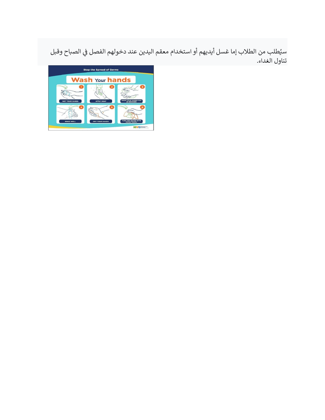سيُطلب من الطلاب إما غسل أيديهم أو استخدام معقم اليدين عند دخولهم الفصل في الصباح وقبل ي ֚֚֚֚֡ تناول الغداء.

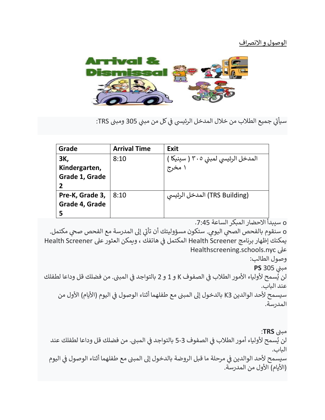#### <u>الوصول و الانصراف</u>



سيأتي جميع الطلاب من خلال المدخل الرئيسي في كل من مبني 305 ومبنى TRS: ي ي ֦֧֦֧֦֧֦֧֦֧֦֧֚֚֚֚֚֡֜֜֓֡֡֜֜֓֡֡֡֡֬

| Grade                                  | <b>Arrival Time</b> | <b>Exit</b>                                   |
|----------------------------------------|---------------------|-----------------------------------------------|
| ЗΚ,<br>Kindergarten,<br>Grade 1, Grade | 8:10                | المدخل الرئيسي لمبنى ٣٠٥ ( سينيكا ˈ<br>۱ مخرج |
| Pre-K, Grade 3,<br>Grade 4, Grade<br>5 | 8:10                | (TRS Building) المدخل الرئيسي                 |

o سيبدأ االحضار المبكر الساعة .7:45

إىل المدرسة مع الفحص ص يح o مكتمل. يم. ستكون مسؤوليتك أن تأت <sup>ر</sup> سنقوم بالفحص الص يح اليو ي يمكنك إظهار برنامج Health Screener المكتمل في هاتفك ، ويمكن العثور على Health Screener ي ֦֧֦֧֦֧֦֧֦֧֦֧֚֚֚֡֜֜֓֡֜֜ Healthscreening.schools.nyc عىل

وصول الطالب:

مبنى 305 **PS** ي

. ي ---- - -<br>لن يُسمح لأولياء الأمور الطلاب في الصفوف K و 1 و 2 بالتواجد في المبنى. من فضلك قل وداعا لطفلك ي ي ֦֧֦֧֦֧֦֧֦֧֦֧֚֚֚֡֜֜֓֡֜֜ عند الباب. سيسمح لأحد الوالدين K3 بالدخول إلى المبنى مع طفلهما أثناء الوصول فى اليوم (الأيام) الأول من ي ֦֧֦֧֦֧֦֧֦֧֦֧֦֧֚֚֡֜֜֓֡֜֜ المدرسة.

مبنی <mark>TRS</mark>: لن يُسمح لأولياء أمور الطلاب في الصفوف 3-5 بالتواجد في المبني. من فضلك قل وداعا لطفلك عند ي ֦֧֦֧֦֧֦֧֦֧֦֧֦֧֧֦֧֚֚֡֜֜֜֓ ا<br>أ ي ֦֧֦֧֦֧֦֧֦֧֦֧֦֧֧֦֧֚֚֡֜֜֜֓ الباب. سيسمح لأحد الوالدين فى مرحلة ما قبل الروضة بالدخول إلى المبنى مع طفلهما أثناء الوصول فى اليوم ي ֦֧֦֧֦֧֦֧֦֧֦֧֦֧֦֧֦֧֦֧֦֧֚֚֚֡֜֜֜֜֜ ي ֦֧֦֧֦֧֦֧֚֚֚֡֜֜֜ (الأيام) الأول من المدرسة.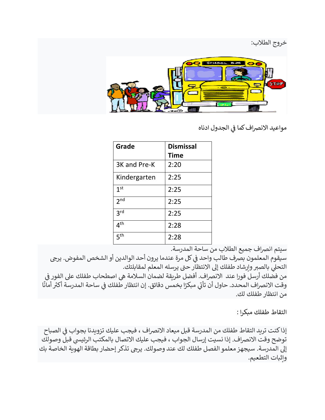

مواعيد الانصراف كما فى الجدول ادناه ي ֦֧֦֧֦֧֦֧֦֧֦֧֦֧֦֧֦֧֚֚֡֜֜֜֜֜֜֜֜֜֞֜֜

| Grade           | <b>Dismissal</b> |
|-----------------|------------------|
|                 | Time             |
| 3K and Pre-K    | 2:20             |
| Kindergarten    | 2:25             |
| 1 <sup>st</sup> | 2:25             |
| 2 <sup>nd</sup> | 2:25             |
| 3 <sup>rd</sup> | 2:25             |
| 4 <sup>th</sup> | 2:28             |
| 5 <sup>th</sup> | 2:28             |

سيتم انرصاف جميع الطالب من ساحة المدرسة.

سيقوم المعلمون بصرف طالب واحد في كل مرة عندما يرون أحد الوالدين أو الشخص المفوض. يرجى ي ֚֚֚֚֡ التحلي بالصبر وإرشاد طفلك إلى الانتظار حتى يرسله المعلم لمقابلتك.

ي ֚֚֚֚֡ من فضلك أرسل فورا عند الانصراف. أفضل طريقة لضمان السلامة هي اصطحاب طفلك على الفور في<br>من فضلك أرسل فورا عند الانصراف. ا **ا**<br>∶ً ى<br>وقت الانصراف المحدد. حاول أن تأتي مبكرًا بخمس دقائق. إن انتظار طفلك في ساحة المدرسة أكثر أمانً ֦֧֦֧֦֧֦֧֦֧֦֧֦֧֦֧֦֧֦֧֦֧֦֧֧֦֧֜֜֓ من انتظار طفلك لك.

التقاط طفلك مبكرا :

إذا كنت تريد التقاط طفلك من المدرسة قبل ميعاد الانصراف ، فيجب عليك تزويدنا بجواب فى الصباح ي ֦֧֦֧֦֧֦֧֦֧֦֧֧֦֧֚֚֡֜֜֓֜֜ توضح وقت الانصراف. إذا نسيت إرسال الجواب ، فيجب عليك الاتصال بالمكتب الرئيسى قبل وصولك<br>. إىل المدرسة. سيجهز معلمو الفصل طفلك لك عند وصولك. يرىج تذكر إحضار بطاقة الهوية الخاصة بك وإثبات التطعيم.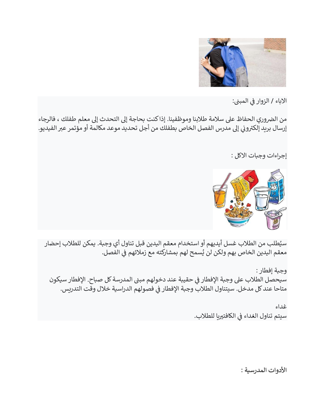

ال<mark>اباء / الزوار في المبني:</mark> ي ֦֧֦֧֦֧֦֧֦֧֪֦֚֚֚֚֚֡֜֜֓֡֡֜֜֓֡֡֡֡֜֝֜

من الضروري الحفاظ على سلامة طلابنا وموظفينا. إذا كنت بحاجة إلى التحدث إلى معلم طفلك ، فالرجاء ى<br>إرسال بريد إلكتروني إلى مدرس الفصل الخاص بطفلك من أجل تحديد موعد مكالمة أو مؤتمر عبر الفيديو. ي

إجراءات وجبات االكل :



سيُطلب من الطلاب غسل أيديهم أو استخدام معقم اليدين قبل تناول أي وجبة. يمكن للطلاب إحضار ያ<br>ፈ معقم اليدين الخاص بهم ولكن لن يُسمح لهم بمشاركته مع زملائهم فى الفصل. ي .<br>נ ै<br>१

وجبة إفطار : سيحصل الطلاب على وجبة الإفطار في حقيبة عند دخولهم مبنى المدرسة كل صباح. الإفطار سيكون ֦֧֦֧֦֧֦֧֦֧֦֧֦֧֦֧֧֦֧֧֦֧֜֜֓֓֜֜֓֓֜ متاحا عند كل مدخل. سيتناول الطلاب وجبة الإفطار فى فصولهم الدراسية خلال وقت التدريس. ي ֦֧֦֧֦֧֦֧֦֧֦֧֦֧֚֚֡֜֜֓֡֜֜

> غداء سيتم تناول الغداء في الكافتيريا للطلاب. ي ֦֧֦֧֦֧֦֧֚֚֚֡֜֜֜

> > الأدوات المدرسية :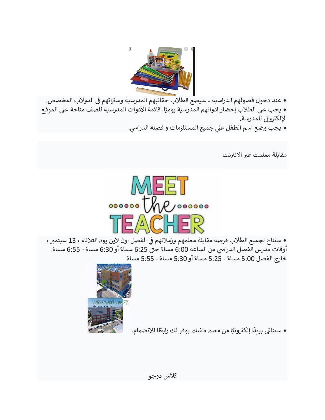

• عند دخول فصولهم الدراسية ، سيضع الطلاب حقائبهم المدرسية وستراتهم في الدولاب المخصص. ي ֦֧֦֧֦֧֦֧֦֧֦֧֦֧֦֧֧֦֧֦֧֦֜֜֓֜֜֜֜֜֜֞֓֡ • يجب على الطلاب إحضار ادواتهم المدرسية يوميًا. قائمة الأدوات المدرسية للصف متاحة على الموقع .<br>الإلكتروني للمدرسة. ي

• يجب وضع اسم الطفل علي جميع المستلزمات و فصله الدراسي.

مقابلة معلمك عبر الانترنت



• ستتاح لجميع الطلاب فرصة مقابلة معلمهم وزملائهم في الفصل اون لاين يوم الثلاثاء ، 13 سبتمبر ، ي ֚֚֚֬ ب عن الساعة من الساعة 6:00 مساءً حتى 6:25 مساءً أو 6:30 مساءً أو 6:30 مساءً - 6:55 مساءً.<br>أوقات مدرس الفصل الدراسي من الساعة 6:00 مساءً حتى 6:25 مساءً أو 6:30 مساءً - 6:55 مساءً. ً.<br>خارج الفصل 5:00 مساءً - 5:25 مساءً أو 5:30 مساءً . 55:55 مساءً - 5:55 مساءً.



● ستتلقى بريدًا إلكترونيًا من معلم طفلك يوفر لك رابطًا للانضمام. ريدً